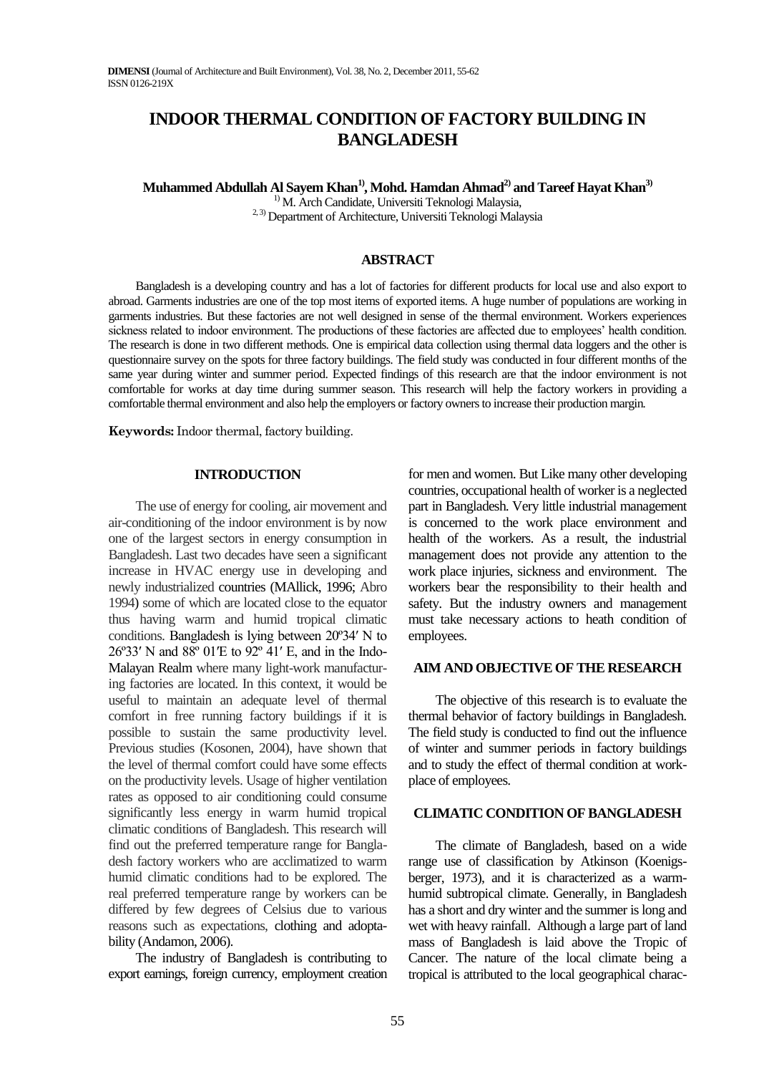# **INDOOR THERMAL CONDITION OF FACTORY BUILDING IN BANGLADESH**

**Muhammed Abdullah Al Sayem Khan1), Mohd. Hamdan Ahmad2) and Tareef Hayat Khan3)**

<sup>1)</sup> M. Arch Candidate, Universiti Teknologi Malaysia, 2, 3) Department of Architecture, Universiti Teknologi Malaysia

# **ABSTRACT**

Bangladesh is a developing country and has a lot of factories for different products for local use and also export to abroad. Garments industries are one of the top most items of exported items. A huge number of populations are working in garments industries. But these factories are not well designed in sense of the thermal environment. Workers experiences sickness related to indoor environment. The productions of these factories are affected due to employees' health condition. The research is done in two different methods. One is empirical data collection using thermal data loggers and the other is questionnaire survey on the spots for three factory buildings. The field study was conducted in four different months of the same year during winter and summer period. Expected findings of this research are that the indoor environment is not comfortable for works at day time during summer season. This research will help the factory workers in providing a comfortable thermal environment and also help the employers or factory owners to increase their production margin*.*

**Keywords:** Indoor thermal, factory building.

## **INTRODUCTION**

The use of energy for cooling, air movement and air-conditioning of the indoor environment is by now one of the largest sectors in energy consumption in Bangladesh. Last two decades have seen a significant increase in HVAC energy use in developing and newly industrialized countries [\(MAllick, 1996; Abro](http://www.sciencedirect.com/science/article/pii/S0960148107003783#bib2)  [1994\)](http://www.sciencedirect.com/science/article/pii/S0960148107003783#bib2) some of which are located close to the equator thus having warm and humid tropical climatic conditions. Bangladesh is lying between 20º34′ N to 26º33′ N and 88º 01′E to 92º 41′ E, and in the Indo-Malayan Realm where many light-work manufacturing factories are located. In this context, it would be useful to maintain an adequate level of thermal comfort in free running factory buildings if it is possible to sustain the same productivity level. Previous studies (Kosonen, 2004), have shown that the level of thermal comfort could have some effects on the productivity levels. Usage of higher ventilation rates as opposed to air conditioning could consume significantly less energy in warm humid tropical climatic conditions of Bangladesh. This research will find out the preferred temperature range for Bangladesh factory workers who are acclimatized to warm humid climatic conditions had to be explored. The real preferred temperature range by workers can be differed by few degrees of Celsius due to various reasons such as expectations, clothing and adoptabilit[y \(Andamon, 2006\)](http://www.sciencedirect.com/science/article/pii/S0960148107003783#bib12).

The industry of Bangladesh is contributing to export earnings, foreign currency, employment creation for men and women. But Like many other developing countries, occupational health of worker is a neglected part in Bangladesh. Very little industrial management is concerned to the work place environment and health of the workers. As a result, the industrial management does not provide any attention to the work place injuries, sickness and environment. The workers bear the responsibility to their health and safety. But the industry owners and management must take necessary actions to heath condition of employees.

## **AIM AND OBJECTIVE OF THE RESEARCH**

The objective of this research is to evaluate the thermal behavior of factory buildings in Bangladesh. The field study is conducted to find out the influence of winter and summer periods in factory buildings and to study the effect of thermal condition at workplace of employees.

#### **CLIMATIC CONDITION OF BANGLADESH**

The climate of Bangladesh, based on a wide range use of classification by Atkinson (Koenigsberger, 1973), and it is characterized as a warmhumid subtropical climate. Generally, in Bangladesh has a short and dry winter and the summer is long and wet with heavy rainfall. Although a large part of land mass of Bangladesh is laid above the Tropic of Cancer. The nature of the local climate being a tropical is attributed to the local geographical charac-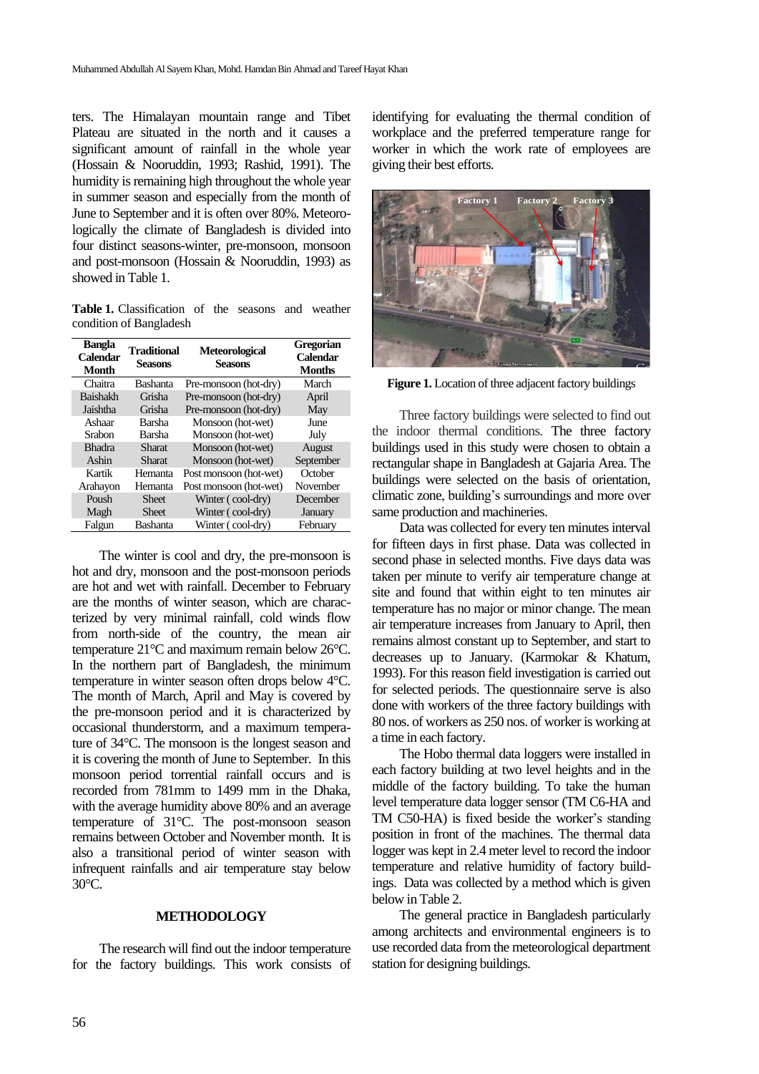ters. The Himalayan mountain range and Tibet Plateau are situated in the north and it causes a significant amount of rainfall in the whole year (Hossain & Nooruddin, 1993; Rashid, 1991). The humidity is remaining high throughout the whole year in summer season and especially from the month of June to September and it is often over 80%. Meteorologically the climate of Bangladesh is divided into four distinct seasons-winter, pre-monsoon, monsoon and post-monsoon (Hossain & Nooruddin, 1993) as showed in Table 1.

**Table 1.** Classification of the seasons and weather condition of Bangladesh

| Bangla<br>Calendar<br><b>Month</b> | Traditional<br>Seasons | Meteorological<br><b>Seasons</b> | Gregorian<br>Calendar<br><b>Months</b> |
|------------------------------------|------------------------|----------------------------------|----------------------------------------|
| Chaitra                            | <b>Bashanta</b>        | Pre-monsoon (hot-dry)            | March                                  |
| <b>Baishakh</b>                    | Grisha                 | Pre-monsoon (hot-dry)            | April                                  |
| Jaishtha                           | Grisha                 | Pre-monsoon (hot-dry)            | May                                    |
| Ashaar                             | Barsha                 | Monsoon (hot-wet)                | June                                   |
| Srabon                             | Barsha                 | Monsoon (hot-wet)                | July                                   |
| <b>Bhadra</b>                      | Sharat                 | Monsoon (hot-wet)                | August                                 |
| Ashin                              | Sharat                 | Monsoon (hot-wet)                | September                              |
| Kartik                             | Hemanta                | Post monsoon (hot-wet)           | October                                |
| Arahayon                           | Hemanta                | Post monsoon (hot-wet)           | November                               |
| Poush                              | <b>Sheet</b>           | Winter (cool-dry)                | December                               |
| Magh                               | <b>Sheet</b>           | Winter (cool-dry)                | January                                |
| Falgun                             | Bashanta               | Winter (cool-dry)                | February                               |

The winter is cool and dry, the pre-monsoon is hot and dry, monsoon and the post-monsoon periods are hot and wet with rainfall. December to February are the months of winter season, which are characterized by very minimal rainfall, cold winds flow from north-side of the country, the mean air temperature 21°C and maximum remain below 26°C. In the northern part of Bangladesh, the minimum temperature in winter season often drops below 4°C. The month of March, April and May is covered by the pre-monsoon period and it is characterized by occasional thunderstorm, and a maximum temperature of 34°C. The monsoon is the longest season and it is covering the month of June to September. In this monsoon period torrential rainfall occurs and is recorded from 781mm to 1499 mm in the Dhaka, with the average humidity above 80% and an average temperature of 31°C. The post-monsoon season remains between October and November month. It is also a transitional period of winter season with infrequent rainfalls and air temperature stay below 30°C.

#### **METHODOLOGY**

The research will find out the indoor temperature for the factory buildings. This work consists of identifying for evaluating the thermal condition of workplace and the preferred temperature range for worker in which the work rate of employees are giving their best efforts.



**Figure 1.** Location of three adjacent factory buildings

Three factory buildings were selected to find out the indoor thermal conditions. The three factory buildings used in this study were chosen to obtain a rectangular shape in Bangladesh at Gajaria Area. The buildings were selected on the basis of orientation, climatic zone, building's surroundings and more over same production and machineries.

Data was collected for every ten minutes interval for fifteen days in first phase. Data was collected in second phase in selected months. Five days data was taken per minute to verify air temperature change at site and found that within eight to ten minutes air temperature has no major or minor change. The mean air temperature increases from January to April, then remains almost constant up to September, and start to decreases up to January. (Karmokar & Khatum, 1993). For this reason field investigation is carried out for selected periods. The questionnaire serve is also done with workers of the three factory buildings with 80 nos. of workers as 250 nos. of worker is working at a time in each factory.

The Hobo thermal data loggers were installed in each factory building at two level heights and in the middle of the factory building. To take the human level temperature data logger sensor (TM C6-HA and TM C50-HA) is fixed beside the worker's standing position in front of the machines. The thermal data logger was kept in 2.4 meter level to record the indoor temperature and relative humidity of factory buildings. Data was collected by a method which is given below in Table 2.

The general practice in Bangladesh particularly among architects and environmental engineers is to use recorded data from the meteorological department station for designing buildings.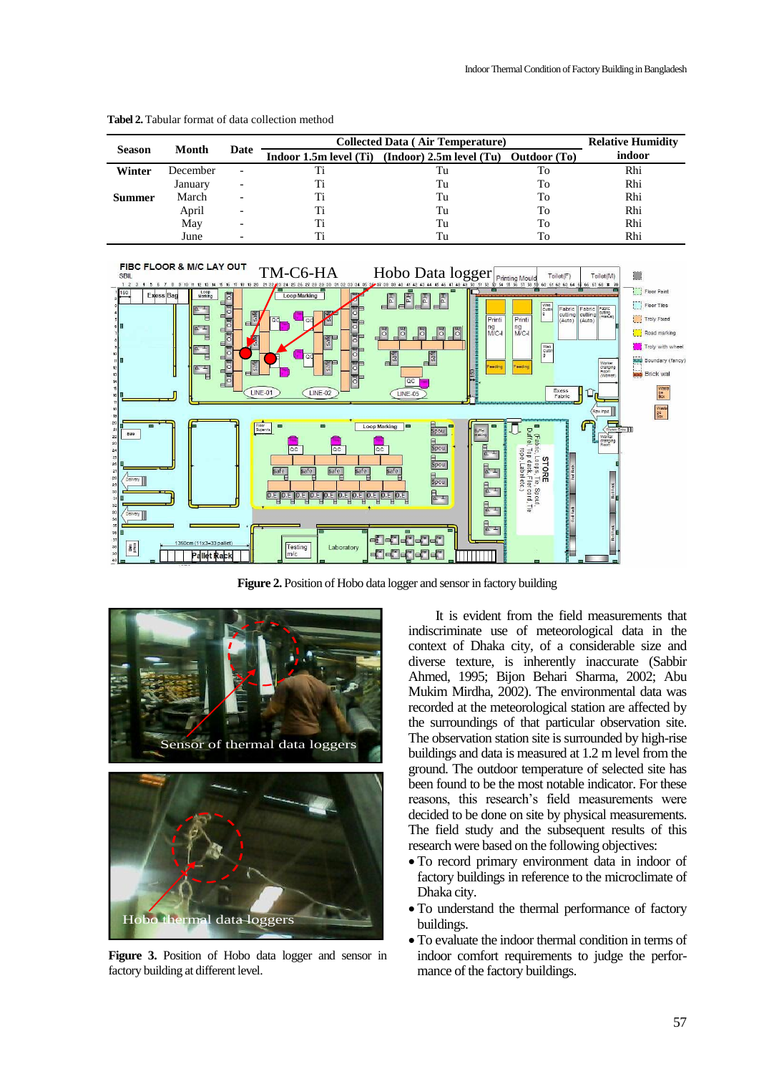|               | Month    | Date                     | <b>Collected Data (Air Temperature)</b> | <b>Relative Humidity</b>                                     |    |        |
|---------------|----------|--------------------------|-----------------------------------------|--------------------------------------------------------------|----|--------|
| <b>Season</b> |          |                          |                                         | Indoor 1.5m level (Ti) (Indoor) 2.5m level (Tu) Outdoor (To) |    | indoor |
| Winter        | December | $\overline{\phantom{0}}$ |                                         | Tu                                                           | Тo | Rhi    |
|               | January  |                          |                                         | Tu                                                           | To | Rhi    |
| Summer        | March    |                          |                                         | Tu                                                           | To | Rhi    |
|               | April    |                          |                                         | Tu                                                           | To | Rhi    |
|               | May      |                          |                                         | Tu                                                           | To | Rhi    |
|               | June     |                          |                                         | Тu                                                           | To | Rhi    |

**Tabel 2.** Tabular format of data collection method



**Figure 2.** Position of Hobo data logger and sensor in factory building



**Figure 3.** Position of Hobo data logger and sensor in factory building at different level.

It is evident from the field measurements that indiscriminate use of meteorological data in the context of Dhaka city, of a considerable size and diverse texture, is inherently inaccurate (Sabbir Ahmed, 1995; Bijon Behari Sharma, 2002; Abu Mukim Mirdha, 2002). The environmental data was recorded at the meteorological station are affected by the surroundings of that particular observation site. The observation station site is surrounded by high-rise buildings and data is measured at 1.2 m level from the ground. The outdoor temperature of selected site has been found to be the most notable indicator. For these reasons, this research's field measurements were decided to be done on site by physical measurements. The field study and the subsequent results of this research were based on the following objectives:

- To record primary environment data in indoor of factory buildings in reference to the microclimate of Dhaka city.
- To understand the thermal performance of factory buildings.
- To evaluate the indoor thermal condition in terms of indoor comfort requirements to judge the performance of the factory buildings.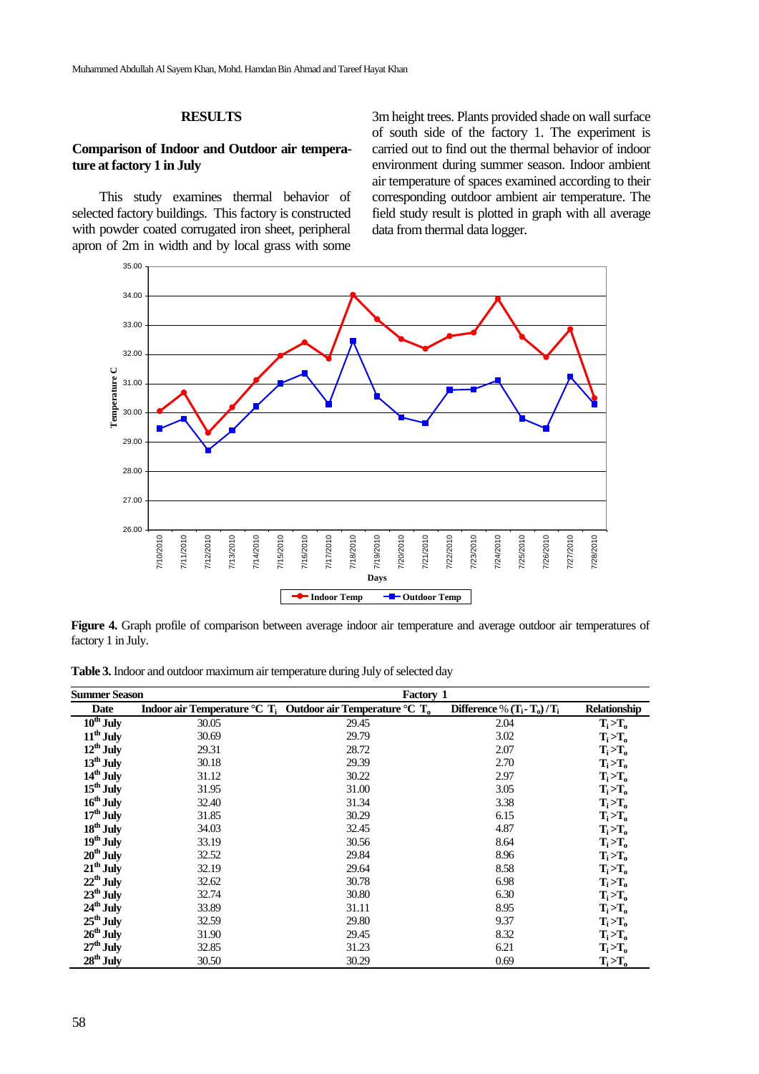#### **RESULTS**

# **Comparison of Indoor and Outdoor air temperature at factory 1 in July**

This study examines thermal behavior of selected factory buildings. This factory is constructed with powder coated corrugated iron sheet, peripheral apron of 2m in width and by local grass with some 3m height trees. Plants provided shade on wall surface of south side of the factory 1. The experiment is carried out to find out the thermal behavior of indoor environment during summer season. Indoor ambient air temperature of spaces examined according to their corresponding outdoor ambient air temperature. The field study result is plotted in graph with all average data from thermal data logger.



**Figure 4.** Graph profile of comparison between average indoor air temperature and average outdoor air temperatures of factory 1 in July.

**Table 3.** Indoor and outdoor maximum air temperature during July of selected day

| Summer Season                    |       | Factory 1                                                        |                                |                     |
|----------------------------------|-------|------------------------------------------------------------------|--------------------------------|---------------------|
| Date                             |       | Indoor air Temperature °C $T_i$ Outdoor air Temperature °C $T_o$ | Difference % $(T_i - T_o)/T_i$ | <b>Relationship</b> |
| $\overline{10}^{\text{th}}$ July | 30.05 | 29.45                                                            | 2.04                           | $T_i > T_o$         |
| $11th$ July                      | 30.69 | 29.79                                                            | 3.02                           | $T_i > T_o$         |
| $12^{th}$ July                   | 29.31 | 28.72                                                            | 2.07                           | $T_i > T_o$         |
| $13^{th}$ July                   | 30.18 | 29.39                                                            | 2.70                           | $T_i > T_o$         |
| $14th$ July                      | 31.12 | 30.22                                                            | 2.97                           | $T_i > T_o$         |
| $15^{th}$ July                   | 31.95 | 31.00                                                            | 3.05                           | $T_i > T_o$         |
| $16^{th}$ July                   | 32.40 | 31.34                                                            | 3.38                           | $T_i > T_o$         |
| $17th$ July                      | 31.85 | 30.29                                                            | 6.15                           | $T_i > T_o$         |
| $18th$ July                      | 34.03 | 32.45                                                            | 4.87                           | $T_i > T_o$         |
| $19th$ July                      | 33.19 | 30.56                                                            | 8.64                           | $T_i > T_o$         |
| $20th$ July                      | 32.52 | 29.84                                                            | 8.96                           | $T_i > T_o$         |
| $21th$ July                      | 32.19 | 29.64                                                            | 8.58                           | $T_i > T_o$         |
| $22^{th}$ July                   | 32.62 | 30.78                                                            | 6.98                           | $T_i > T_o$         |
| $23th$ July                      | 32.74 | 30.80                                                            | 6.30                           | $T_i > T_o$         |
| $24th$ July                      | 33.89 | 31.11                                                            | 8.95                           | $T_i > T_o$         |
| $25th$ July                      | 32.59 | 29.80                                                            | 9.37                           | $T_i > T_o$         |
| $26th$ July                      | 31.90 | 29.45                                                            | 8.32                           | $T_i > T_o$         |
| $27th$ July                      | 32.85 | 31.23                                                            | 6.21                           | $T_i > T_o$         |
| $28th$ July                      | 30.50 | 30.29                                                            | 0.69                           | $T_i > T_o$         |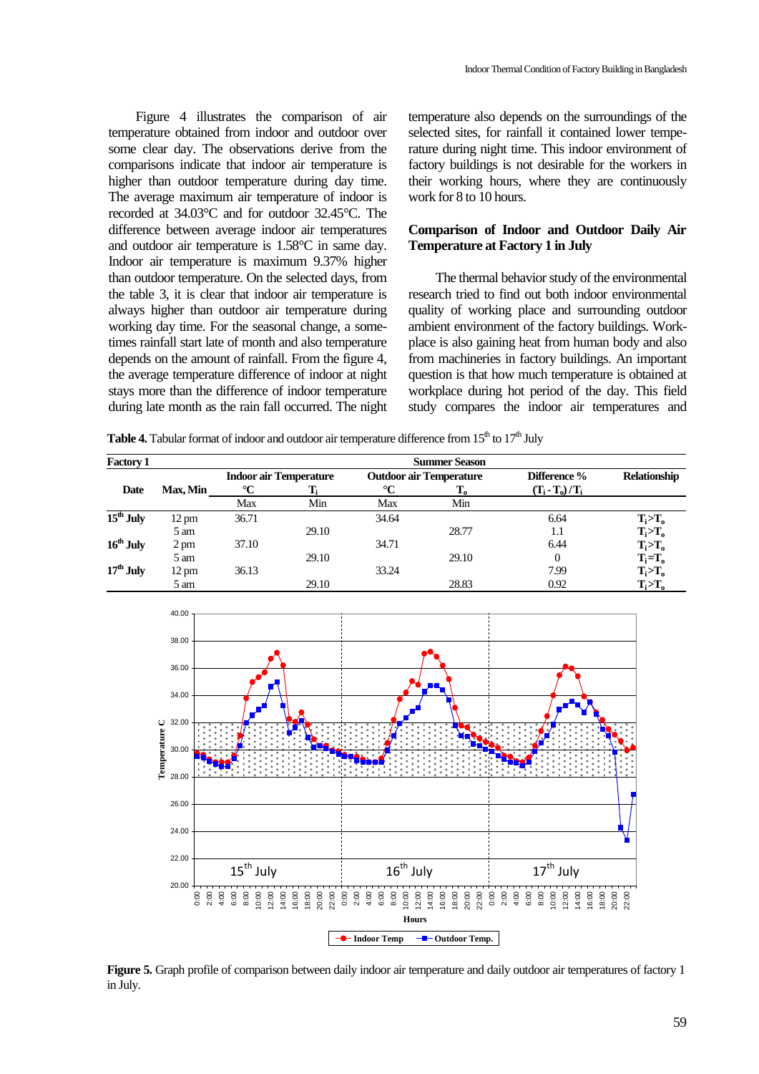Figure 4 illustrates the comparison of air temperature obtained from indoor and outdoor over some clear day. The observations derive from the comparisons indicate that indoor air temperature is higher than outdoor temperature during day time. The average maximum air temperature of indoor is recorded at 34.03°C and for outdoor 32.45°C. The difference between average indoor air temperatures and outdoor air temperature is 1.58°C in same day. Indoor air temperature is maximum 9.37% higher than outdoor temperature. On the selected days, from the table 3, it is clear that indoor air temperature is always higher than outdoor air temperature during working day time. For the seasonal change, a sometimes rainfall start late of month and also temperature depends on the amount of rainfall. From the figure 4, the average temperature difference of indoor at night stays more than the difference of indoor temperature during late month as the rain fall occurred. The night temperature also depends on the surroundings of the selected sites, for rainfall it contained lower temperature during night time. This indoor environment of factory buildings is not desirable for the workers in their working hours, where they are continuously work for 8 to 10 hours.

# **Comparison of Indoor and Outdoor Daily Air Temperature at Factory 1 in July**

The thermal behavior study of the environmental research tried to find out both indoor environmental quality of working place and surrounding outdoor ambient environment of the factory buildings. Workplace is also gaining heat from human body and also from machineries in factory buildings. An important question is that how much temperature is obtained at workplace during hot period of the day. This field study compares the indoor air temperatures and

**Table 4.** Tabular format of indoor and outdoor air temperature difference from  $15<sup>th</sup>$  to  $17<sup>th</sup>$  July

| <b>Factory 1</b> | <b>Summer Season</b> |                               |       |                                |                           |                 |                     |  |
|------------------|----------------------|-------------------------------|-------|--------------------------------|---------------------------|-----------------|---------------------|--|
|                  |                      | <b>Indoor air Temperature</b> |       | <b>Outdoor air Temperature</b> |                           | Difference %    | <b>Relationship</b> |  |
| Date             | Max, Min             | $\rm ^{\circ}C$               |       | $\rm ^{\circ}C$                | $\mathbf{T}_{\mathbf{o}}$ | $(T_i-T_o)/T_i$ |                     |  |
|                  |                      | Max                           | Min   | Max                            | Min                       |                 |                     |  |
| $15th$ July      | $12 \text{ pm}$      | 36.71                         |       | 34.64                          |                           | 6.64            | $T_i > T_o$         |  |
|                  | 5 am                 |                               | 29.10 |                                | 28.77                     | 1.1             | $T_i > T_o$         |  |
| $16th$ July      | $2 \text{ pm}$       | 37.10                         |       | 34.71                          |                           | 6.44            | $T_i > T_o$         |  |
|                  | 5 am                 |                               | 29.10 |                                | 29.10                     | 0               | $T_i = T_o$         |  |
| $17th$ July      | $12 \text{ pm}$      | 36.13                         |       | 33.24                          |                           | 7.99            | $T_i > T_o$         |  |
|                  | 5 am                 |                               | 29.10 |                                | 28.83                     | 0.92            | $T_i > T_o$         |  |



**Figure 5.** Graph profile of comparison between daily indoor air temperature and daily outdoor air temperatures of factory 1 in July.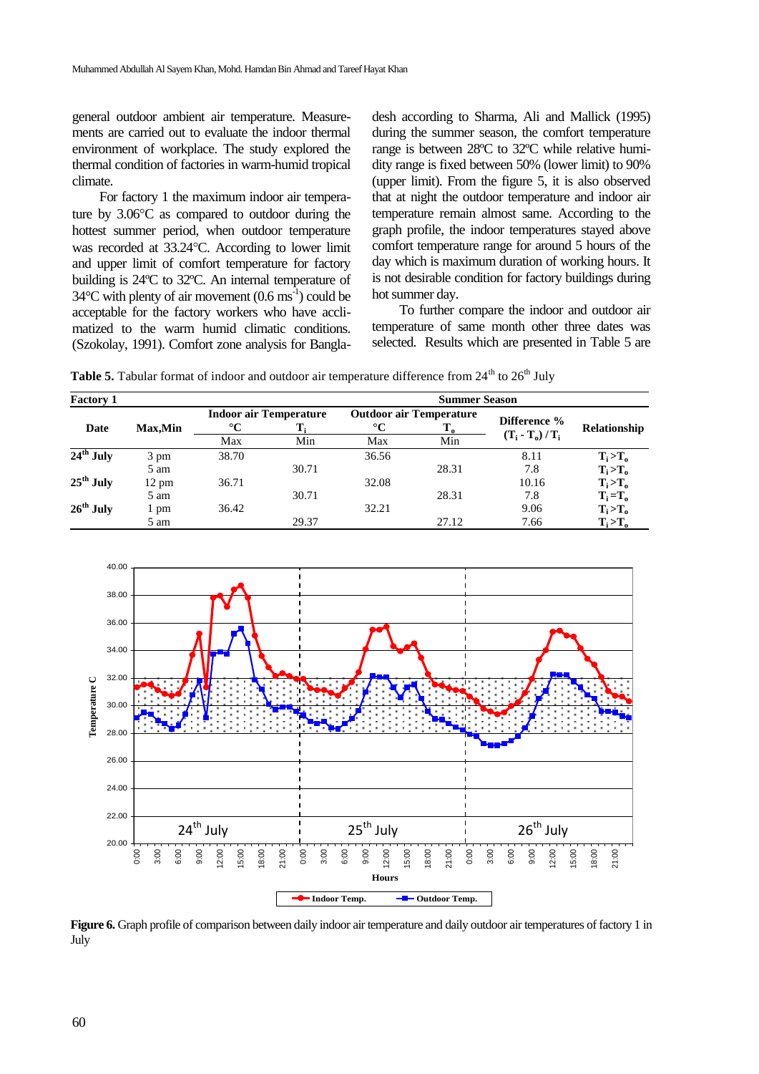general outdoor ambient air temperature. Measurements are carried out to evaluate the indoor thermal environment of workplace. The study explored the thermal condition of factories in warm-humid tropical climate.

For factory 1 the maximum indoor air temperature by  $3.06^{\circ}$ C as compared to outdoor during the hottest summer period, when outdoor temperature was recorded at 33.24 °C. According to lower limit and upper limit of comfort temperature for factory building is 24ºC to 32ºC. An internal temperature of  $34^{\circ}$ C with plenty of air movement (0.6 ms<sup>-1</sup>) could be acceptable for the factory workers who have acclimatized to the warm humid climatic conditions. (Szokolay, 1991). Comfort zone analysis for Bangladesh according to Sharma, Ali and Mallick (1995) during the summer season, the comfort temperature range is between 28ºC to 32ºC while relative humidity range is fixed between 50% (lower limit) to 90% (upper limit). From the figure 5, it is also observed that at night the outdoor temperature and indoor air temperature remain almost same. According to the graph profile, the indoor temperatures stayed above comfort temperature range for around 5 hours of the day which is maximum duration of working hours. It is not desirable condition for factory buildings during hot summer day.

To further compare the indoor and outdoor air temperature of same month other three dates was selected. Results which are presented in Table 5 are

Table 5. Tabular format of indoor and outdoor air temperature difference from 24<sup>th</sup> to 26<sup>th</sup> July

| <b>Factory 1</b> |                 |                 | <b>Summer Season</b>          |                 |                                      |                   |                               |  |  |
|------------------|-----------------|-----------------|-------------------------------|-----------------|--------------------------------------|-------------------|-------------------------------|--|--|
| Date             | <b>Max.Min</b>  | $\rm ^{\circ}C$ | <b>Indoor air Temperature</b> | $\rm ^{\circ}C$ | <b>Outdoor air Temperature</b><br>т. | Difference %      | Relationship                  |  |  |
|                  |                 | Max             | Min                           | Max             | Min                                  | $(T_i - T_o)/T_i$ |                               |  |  |
| $24th$ July      | 3 pm            | 38.70           |                               | 36.56           |                                      | 8.11              | $T_i > T_o$                   |  |  |
|                  | 5 am            |                 | 30.71                         |                 | 28.31                                | 7.8               | $T_i > T_o$                   |  |  |
| $25th$ July      | $12 \text{ pm}$ | 36.71           |                               | 32.08           |                                      | 10.16             | $T_i > T_o$                   |  |  |
|                  | 5 am            |                 | 30.71                         |                 | 28.31                                | 7.8               | $\mathbf{T_i} = \mathbf{T_o}$ |  |  |
| $26th$ July      | pm              | 36.42           |                               | 32.21           |                                      | 9.06              | $T_i > T_o$                   |  |  |
|                  | 5 am            |                 | 29.37                         |                 | 27.12                                | 7.66              | $T_i > T_o$                   |  |  |



**Figure 6.** Graph profile of comparison between daily indoor air temperature and daily outdoor air temperatures of factory 1 in July